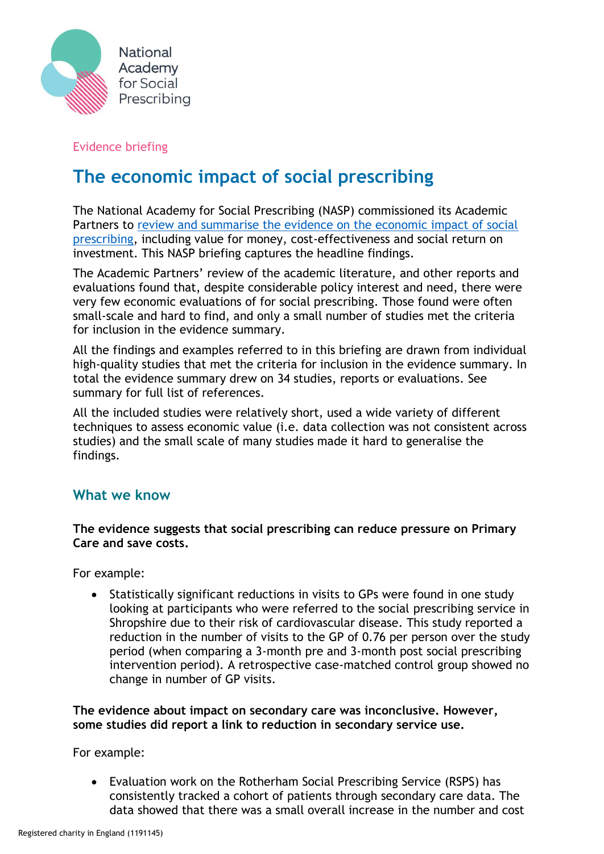

## Evidence briefing

# **The economic impact of social prescribing**

The National Academy for Social Prescribing (NASP) commissioned its Academic Partners to [review and summarise the evidence on the economic impact of social](https://socialprescribingacademy.org.uk/wp-content/uploads/2022/03/Evidence-summary-the-economic-impact-of-social-prescribing-.pdf)  [prescribing,](https://socialprescribingacademy.org.uk/wp-content/uploads/2022/03/Evidence-summary-the-economic-impact-of-social-prescribing-.pdf) including value for money, cost-effectiveness and social return on investment. This NASP briefing captures the headline findings.

The Academic Partners' review of the academic literature, and other reports and evaluations found that, despite considerable policy interest and need, there were very few economic evaluations of for social prescribing. Those found were often small-scale and hard to find, and only a small number of studies met the criteria for inclusion in the evidence summary.

All the findings and examples referred to in this briefing are drawn from individual high-quality studies that met the criteria for inclusion in the evidence summary. In total the evidence summary drew on 34 studies, reports or evaluations. See summary for full list of references.

All the included studies were relatively short, used a wide variety of different techniques to assess economic value (i.e. data collection was not consistent across studies) and the small scale of many studies made it hard to generalise the findings.

## **What we know**

#### **The evidence suggests that social prescribing can reduce pressure on Primary Care and save costs.**

For example:

• Statistically significant reductions in visits to GPs were found in one study looking at participants who were referred to the social prescribing service in Shropshire due to their risk of cardiovascular disease. This study reported a reduction in the number of visits to the GP of 0.76 per person over the study period (when comparing a 3-month pre and 3-month post social prescribing intervention period). A retrospective case-matched control group showed no change in number of GP visits.

#### **The evidence about impact on secondary care was inconclusive. However, some studies did report a link to reduction in secondary service use.**

For example:

• Evaluation work on the Rotherham Social Prescribing Service (RSPS) has consistently tracked a cohort of patients through secondary care data. The data showed that there was a small overall increase in the number and cost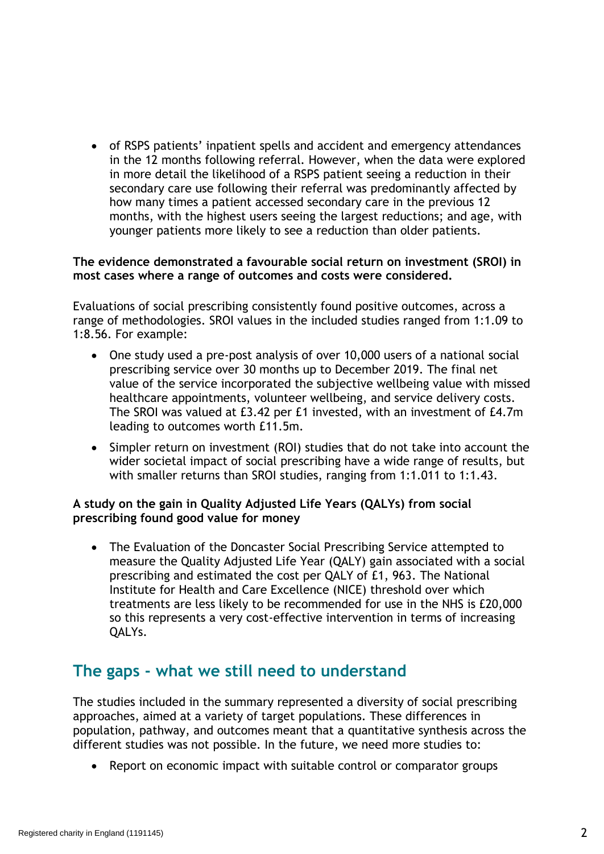• of RSPS patients' inpatient spells and accident and emergency attendances in the 12 months following referral. However, when the data were explored in more detail the likelihood of a RSPS patient seeing a reduction in their secondary care use following their referral was predominantly affected by how many times a patient accessed secondary care in the previous 12 months, with the highest users seeing the largest reductions; and age, with younger patients more likely to see a reduction than older patients.

#### **The evidence demonstrated a favourable social return on investment (SROI) in most cases where a range of outcomes and costs were considered.**

Evaluations of social prescribing consistently found positive outcomes, across a range of methodologies. SROI values in the included studies ranged from 1:1.09 to 1:8.56. For example:

- One study used a pre-post analysis of over 10,000 users of a national social prescribing service over 30 months up to December 2019. The final net value of the service incorporated the subjective wellbeing value with missed healthcare appointments, volunteer wellbeing, and service delivery costs. The SROI was valued at £3.42 per £1 invested, with an investment of £4.7m leading to outcomes worth £11.5m.
- Simpler return on investment (ROI) studies that do not take into account the wider societal impact of social prescribing have a wide range of results, but with smaller returns than SROI studies, ranging from 1:1.011 to 1:1.43.

#### **A study on the gain in Quality Adjusted Life Years (QALYs) from social prescribing found good value for money**

• The Evaluation of the Doncaster Social Prescribing Service attempted to measure the Quality Adjusted Life Year (QALY) gain associated with a social prescribing and estimated the cost per QALY of £1, 963. The National Institute for Health and Care Excellence (NICE) threshold over which treatments are less likely to be recommended for use in the NHS is £20,000 so this represents a very cost-effective intervention in terms of increasing QALYs.

# **The gaps - what we still need to understand**

The studies included in the summary represented a diversity of social prescribing approaches, aimed at a variety of target populations. These differences in population, pathway, and outcomes meant that a quantitative synthesis across the different studies was not possible. In the future, we need more studies to:

Report on economic impact with suitable control or comparator groups